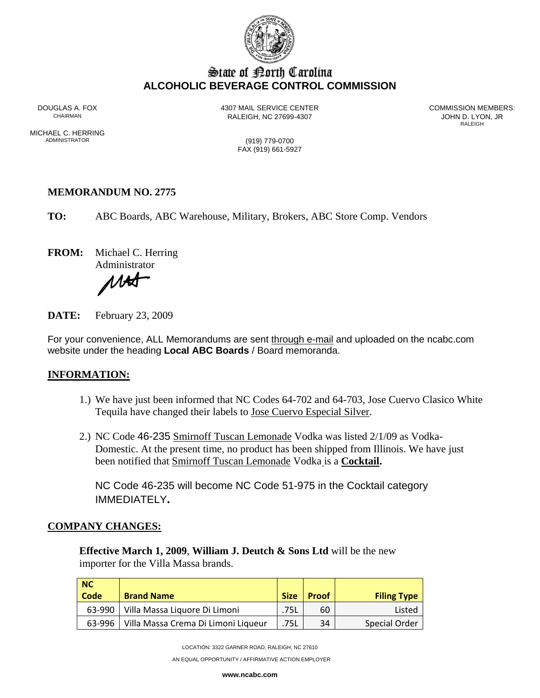

# State of Borth Carolina **ALCOHOLIC BEVERAGE CONTROL COMMISSION**

RALEIGH, NC 27699-4307 **STALEIGH, NC 27699-4307** 

DOUGLAS A. FOX **4307 MAIL SERVICE CENTER** COMMISSION MEMBERS:<br>CHAIRMAN CHAIRMAN RALEIGH **RALEIGH** 

MICHAEL C. HERRING<br>ADMINISTRATOR

(919) 779-0700 FAX (919) 661-5927

#### **MEMORANDUM NO. 2775**

**TO:** ABC Boards, ABC Warehouse, Military, Brokers, ABC Store Comp. Vendors

**FROM:** Michael C. Herring

Administrator

1 A.H

**DATE:** February 23, 2009

For your convenience, ALL Memorandums are sent through e-mail and uploaded on the ncabc.com website under the heading **Local ABC Boards** / Board memoranda.

### **INFORMATION:**

- 1.) We have just been informed that NC Codes 64-702 and 64-703, Jose Cuervo Clasico White Tequila have changed their labels to Jose Cuervo Especial Silver.
- 2.) NC Code 46-235 Smirnoff Tuscan Lemonade Vodka was listed 2/1/09 as Vodka-Domestic. At the present time, no product has been shipped from Illinois. We have just been notified that Smirnoff Tuscan Lemonade Vodka is a **Cocktail.**

NC Code 46-235 will become NC Code 51-975 in the Cocktail category IMMEDIATELY**.** 

#### **COMPANY CHANGES:**

**Effective March 1, 2009**, **William J. Deutch & Sons Ltd** will be the new importer for the Villa Massa brands.

| NC     |                                     |             |              |                    |
|--------|-------------------------------------|-------------|--------------|--------------------|
| Code   | <b>Brand Name</b>                   | <b>Size</b> | <b>Proof</b> | <b>Filing Type</b> |
| 63-990 | Villa Massa Liquore Di Limoni       | .75L        | 60           | Listed             |
| 63-996 | Villa Massa Crema Di Limoni Liqueur | .75L        | 34           | Special Order      |

LOCATION: 3322 GARNER ROAD, RALEIGH, NC 27610

AN EQUAL OPPORTUNITY / AFFIRMATIVE ACTION EMPLOYER

**www.ncabc.com**